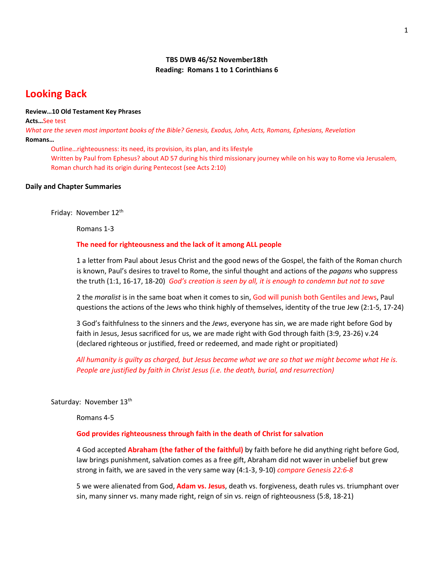# **TBS DWB 46/52 November18th Reading: Romans 1 to 1 Corinthians 6**

# **Looking Back**

#### **Review…10 Old Testament Key Phrases**

**Acts…**See test *What are the seven most important books of the Bible? Genesis, Exodus, John, Acts, Romans, Ephesians, Revelation* **Romans…**

Outline…righteousness: its need, its provision, its plan, and its lifestyle Written by Paul from Ephesus? about AD 57 during his third missionary journey while on his way to Rome via Jerusalem, Roman church had its origin during Pentecost (see Acts 2:10)

#### **Daily and Chapter Summaries**

Friday: November 12<sup>th</sup>

Romans 1-3

## **The need for righteousness and the lack of it among ALL people**

1 a letter from Paul about Jesus Christ and the good news of the Gospel, the faith of the Roman church is known, Paul's desires to travel to Rome, the sinful thought and actions of the *pagans* who suppress the truth (1:1, 16-17, 18-20) *God's creation is seen by all, it is enough to condemn but not to save*

2 the *moralist* is in the same boat when it comes to sin, God will punish both Gentiles and Jews, Paul questions the actions of the Jews who think highly of themselves, identity of the true Jew (2:1-5, 17-24)

3 God's faithfulness to the sinners and the *Jews*, everyone has sin, we are made right before God by faith in Jesus, Jesus sacrificed for us, we are made right with God through faith (3:9, 23-26) v.24 (declared righteous or justified, freed or redeemed, and made right or propitiated)

*All humanity is guilty as charged, but Jesus became what we are so that we might become what He is. People are justified by faith in Christ Jesus (i.e. the death, burial, and resurrection)* 

Saturday: November 13<sup>th</sup>

Romans 4-5

#### **God provides righteousness through faith in the death of Christ for salvation**

4 God accepted **Abraham (the father of the faithful)** by faith before he did anything right before God, law brings punishment, salvation comes as a free gift, Abraham did not waver in unbelief but grew strong in faith, we are saved in the very same way (4:1-3, 9-10) *compare Genesis 22:6-8*

5 we were alienated from God, **Adam vs. Jesus**, death vs. forgiveness, death rules vs. triumphant over sin, many sinner vs. many made right, reign of sin vs. reign of righteousness (5:8, 18-21)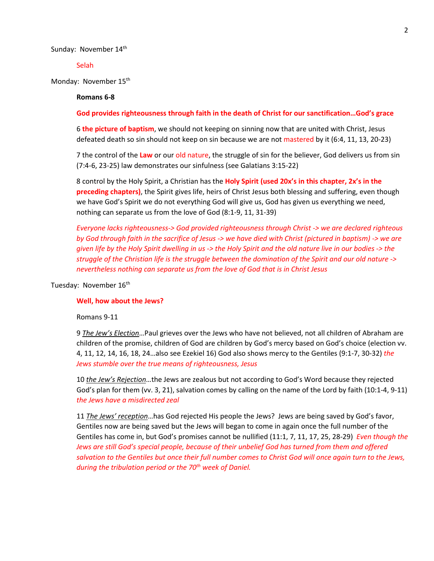Sunday: November 14th

Selah

Monday: November 15<sup>th</sup>

#### **Romans 6-8**

**God provides righteousness through faith in the death of Christ for our sanctification…God's grace**

6 **the picture of baptism**, we should not keeping on sinning now that are united with Christ, Jesus defeated death so sin should not keep on sin because we are not mastered by it (6:4, 11, 13, 20-23)

7 the control of the **Law** or our old nature, the struggle of sin for the believer, God delivers us from sin (7:4-6, 23-25) law demonstrates our sinfulness (see Galatians 3:15-22)

8 control by the Holy Spirit, a Christian has the **Holy Spirit (used 20x's in this chapter, 2x's in the preceding chapters)**, the Spirit gives life, heirs of Christ Jesus both blessing and suffering, even though we have God's Spirit we do not everything God will give us, God has given us everything we need, nothing can separate us from the love of God (8:1-9, 11, 31-39)

*Everyone lacks righteousness-> God provided righteousness through Christ -> we are declared righteous by God through faith in the sacrifice of Jesus -> we have died with Christ (pictured in baptism) -> we are given life by the Holy Spirit dwelling in us -> the Holy Spirit and the old nature live in our bodies -> the struggle of the Christian life is the struggle between the domination of the Spirit and our old nature -> nevertheless nothing can separate us from the love of God that is in Christ Jesus*

Tuesday: November 16<sup>th</sup>

#### **Well, how about the Jews?**

Romans 9-11

9 *The Jew's Election*…Paul grieves over the Jews who have not believed, not all children of Abraham are children of the promise, children of God are children by God's mercy based on God's choice (election vv. 4, 11, 12, 14, 16, 18, 24…also see Ezekiel 16) God also shows mercy to the Gentiles (9:1-7, 30-32) *the Jews stumble over the true means of righteousness, Jesus*

10 *the Jew's Rejection*…the Jews are zealous but not according to God's Word because they rejected God's plan for them (vv. 3, 21), salvation comes by calling on the name of the Lord by faith (10:1-4, 9-11) *the Jews have a misdirected zeal*

11 *The Jews' reception*…has God rejected His people the Jews? Jews are being saved by God's favor, Gentiles now are being saved but the Jews will began to come in again once the full number of the Gentiles has come in, but God's promises cannot be nullified (11:1, 7, 11, 17, 25, 28-29) *Even though the Jews are still God's special people, because of their unbelief God has turned from them and offered salvation to the Gentiles but once their full number comes to Christ God will once again turn to the Jews, during the tribulation period or the 70th week of Daniel.*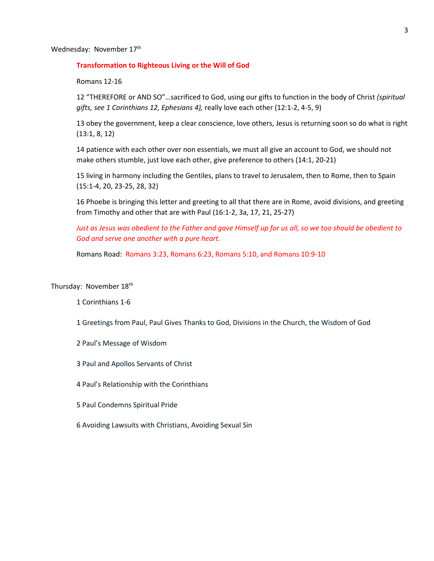Wednesday: November 17th

#### **Transformation to Righteous Living or the Will of God**

Romans 12-16

12 "THEREFORE or AND SO"…sacrificed to God, using our gifts to function in the body of Christ *(spiritual gifts, see 1 Corinthians 12, Ephesians 4),* really love each other (12:1-2, 4-5, 9)

13 obey the government, keep a clear conscience, love others, Jesus is returning soon so do what is right (13:1, 8, 12)

14 patience with each other over non essentials, we must all give an account to God, we should not make others stumble, just love each other, give preference to others (14:1, 20-21)

15 living in harmony including the Gentiles, plans to travel to Jerusalem, then to Rome, then to Spain (15:1-4, 20, 23-25, 28, 32)

16 Phoebe is bringing this letter and greeting to all that there are in Rome, avoid divisions, and greeting from Timothy and other that are with Paul (16:1-2, 3a, 17, 21, 25-27)

*Just as Jesus was obedient to the Father and gave Himself up for us all, so we too should be obedient to God and serve one another with a pure heart.* 

Romans Road: Romans 3:23, Romans 6:23, Romans 5:10, and Romans 10:9-10

## Thursday: November 18<sup>th</sup>

1 Corinthians 1-6

1 Greetings from Paul, Paul Gives Thanks to God, Divisions in the Church, the Wisdom of God

2 Paul's Message of Wisdom

3 Paul and Apollos Servants of Christ

4 Paul's Relationship with the Corinthians

5 Paul Condemns Spiritual Pride

6 Avoiding Lawsuits with Christians, Avoiding Sexual Sin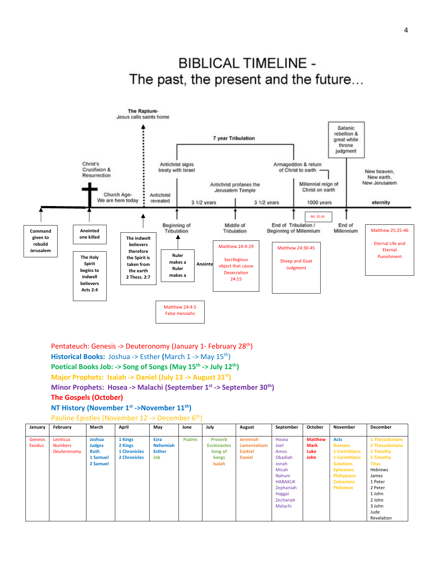



Pentateuch: Genesis -> Deuteronomy (January 1- February 28<sup>th</sup>) **Historical Books:** Joshua -> Esther **(**March 1 -> May 15th) Poetical Books Job: -> Song of Songs (May 15<sup>th</sup> -> July 12<sup>th</sup>) **Major Prophets: Isaiah -> Daniel (July 13 -> August 31st) Minor Prophets: Hosea -> Malachi (September 1st -> September 30th) The Gospels (October) NT History (November 1st ->November 11th)** 

#### Pauline Epistles (November 12 -> December 6<sup>th</sup>)

| January        | February       | March         | April               | May             | June          | July                | August              | September      | October        | November             | December        |
|----------------|----------------|---------------|---------------------|-----------------|---------------|---------------------|---------------------|----------------|----------------|----------------------|-----------------|
| <b>Genesis</b> | Leviticus      | Joshua        | 1 Kings             | Ezra            | <b>Psalms</b> | <b>Proverb</b>      | <b>Jeremiah</b>     | Hosea          | <b>Matthew</b> | <b>Acts</b>          | 1 Thessalonians |
| <b>Exodus</b>  | <b>Numbers</b> | <b>Judges</b> | 2 Kings             | <b>Nehemiah</b> |               | <b>Ecclesiastes</b> | <b>Lamentations</b> | Joel           | <b>Mark</b>    | <b>Romans</b>        | 2 Thessalonians |
|                | Deuteronomy    | <b>Ruth</b>   | <b>1 Chronicles</b> | <b>Esther</b>   |               | Song of             | <b>Ezekiel</b>      | Amos           | Luke           | <b>1 Corinthians</b> | 1 Timothy       |
|                |                | 1 Samuel      | <b>2 Chronicles</b> | Job             |               | <b>Songs</b>        | <b>Daniel</b>       | Obadiah        | John           | <b>1 Corinthians</b> | 2 Timothy       |
|                |                | 2 Samuel      |                     |                 |               | Isaiah              |                     | Jonah          |                | <b>Galatians</b>     | <b>Titus</b>    |
|                |                |               |                     |                 |               |                     |                     | Micah          |                | <b>Ephesians</b>     | Hebrews         |
|                |                |               |                     |                 |               |                     |                     | Nahum          |                | <b>Philippians</b>   | James           |
|                |                |               |                     |                 |               |                     |                     | <b>HABAKUK</b> |                | <b>Colossians</b>    | 1 Peter         |
|                |                |               |                     |                 |               |                     |                     | Zephaniah      |                | <b>Philemon</b>      | 2 Peter         |
|                |                |               |                     |                 |               |                     |                     | Haggai         |                |                      | 1 John          |
|                |                |               |                     |                 |               |                     |                     | Zechariah      |                |                      | 2 John          |
|                |                |               |                     |                 |               |                     |                     | Malachi        |                |                      | 3 John          |
|                |                |               |                     |                 |               |                     |                     |                |                |                      | Jude            |
|                |                |               |                     |                 |               |                     |                     |                |                |                      | Revelation      |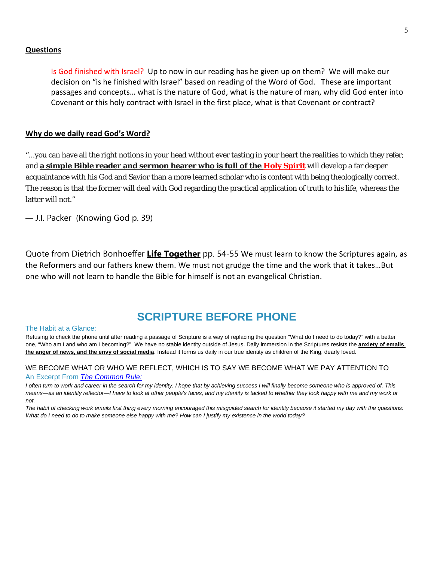#### **Questions**

Is God finished with Israel? Up to now in our reading has he given up on them? We will make our decision on "is he finished with Israel" based on reading of the Word of God. These are important passages and concepts… what is the nature of God, what is the nature of man, why did God enter into Covenant or this holy contract with Israel in the first place, what is that Covenant or contract?

#### **Why do we daily read God's Word?**

"...you can have all the right notions in your head without ever tasting in your heart the realities to which they refer; and **a simple Bible reader and sermon hearer who is full of the Holy Spirit** will develop a far deeper acquaintance with his God and Savior than a more learned scholar who is content with being theologically correct. The reason is that the former will deal with God regarding the practical application of truth to his life, whereas the latter will not."

— [J.I. Packer](https://quotefancy.com/j-i-packer-quotes) (Knowing God p. 39)

Quote from Dietrich Bonhoeffer **Life Together** pp. 54-55 We must learn to know the Scriptures again, as the Reformers and our fathers knew them. We must not grudge the time and the work that it takes…But one who will not learn to handle the Bible for himself is not an evangelical Christian.

# **SCRIPTURE BEFORE PHONE**

#### The Habit at a Glance:

Refusing to check the phone until after reading a passage of Scripture is a way of replacing the question "What do I need to do today?" with a better one, "Who am I and who am I becoming?" We have no stable identity outside of Jesus. Daily immersion in the Scriptures resists the **anxiety of emails**, **the anger of news, and the envy of social media**. Instead it forms us daily in our true identity as children of the King, dearly loved.

#### WE BECOME WHAT OR WHO WE REFLECT, WHICH IS TO SAY WE BECOME WHAT WE PAY ATTENTION TO An Excerpt From *The [Common](https://www.amazon.com/Common-Rule-Habits-Purpose-Distraction/dp/0830845607/ref=sr_1_1?keywords=the+common+rule&qid=1550272781&s=gateway&sr=8-1) Rule:*

I often turn to work and career in the search for my identity. I hope that by achieving success I will finally become someone who is approved of. This means-as an identity reflector-I have to look at other people's faces, and my identity is tacked to whether they look happy with me and my work or *not.*

The habit of checking work emails first thing every morning encouraged this misguided search for identity because it started my day with the questions: What do I need to do to make someone else happy with me? How can I justify my existence in the world today?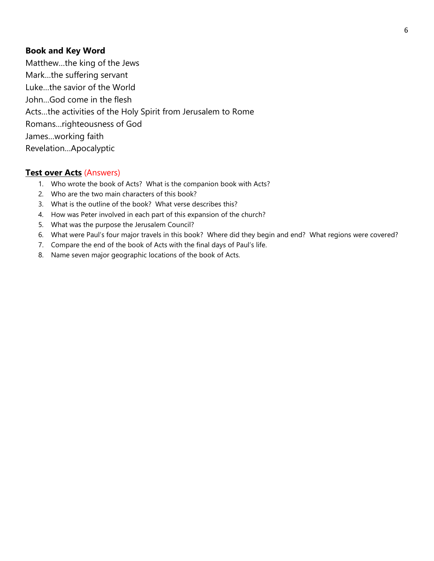# **Book and Key Word**

Matthew…the king of the Jews Mark…the suffering servant Luke…the savior of the World John…God come in the flesh Acts…the activities of the Holy Spirit from Jerusalem to Rome Romans…righteousness of God James…working faith Revelation…Apocalyptic

# **Test over Acts** (Answers)

- 1. Who wrote the book of Acts? What is the companion book with Acts?
- 2. Who are the two main characters of this book?
- 3. What is the outline of the book? What verse describes this?
- 4. How was Peter involved in each part of this expansion of the church?
- 5. What was the purpose the Jerusalem Council?
- 6. What were Paul's four major travels in this book? Where did they begin and end? What regions were covered?
- 7. Compare the end of the book of Acts with the final days of Paul's life.
- 8. Name seven major geographic locations of the book of Acts.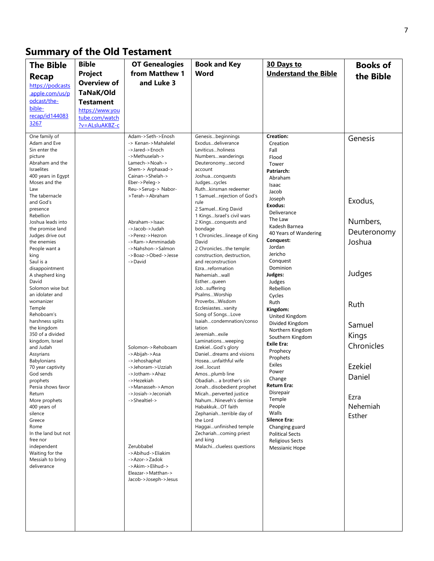# **Summary of the Old Testament**

| <b>The Bible</b>                        | <b>Bible</b>       | <b>OT Genealogies</b>                    | <b>Book and Key</b>                               | 30 Days to                               | <b>Books of</b> |
|-----------------------------------------|--------------------|------------------------------------------|---------------------------------------------------|------------------------------------------|-----------------|
| Recap                                   | Project            | from Matthew 1                           | Word                                              | <b>Understand the Bible</b>              | the Bible       |
| https://podcasts                        | <b>Overview of</b> | and Luke 3                               |                                                   |                                          |                 |
| apple.com/us/p                          | TaNaK/Old          |                                          |                                                   |                                          |                 |
| odcast/the-                             | <b>Testament</b>   |                                          |                                                   |                                          |                 |
| bible-                                  | https://www.vou    |                                          |                                                   |                                          |                 |
| recap/id144083<br>3267                  | tube.com/watch     |                                          |                                                   |                                          |                 |
|                                         | ?v=ALsluAKBZ-c     |                                          |                                                   |                                          |                 |
| One family of<br>Adam and Eve           |                    | Adam->Seth->Enosh<br>-> Kenan->Mahalelel | Genesisbeginnings<br>Exodusdeliverance            | Creation:                                | Genesis         |
| Sin enter the                           |                    | ->Jared->Enoch                           | Leviticusholiness                                 | Creation<br>Fall                         |                 |
| picture                                 |                    | ->Methuselah->                           | Numberswanderings                                 | Flood                                    |                 |
| Abraham and the                         |                    | Lamech->Noah->                           | Deuteronomysecond                                 | Tower                                    |                 |
| <b>Israelites</b><br>400 years in Egypt |                    | Shem-> Arphaxad-><br>Cainan->Shelah->    | account<br>Joshuaconquests                        | Patriarch:                               |                 |
| Moses and the                           |                    | Eber->Peleg->                            | Judgescycles                                      | Abraham<br>Isaac                         |                 |
| Law                                     |                    | Reu->Serug-> Nabor-                      | Ruthkinsman redeemer                              | Jacob                                    |                 |
| The tabernacle<br>and God's             |                    | >Terah->Abraham                          | 1 Samuelrejection of God's<br>rule                | Joseph                                   | Exodus,         |
| presence                                |                    |                                          | 2 SamuelKing David                                | Exodus:                                  |                 |
| Rebellion                               |                    |                                          | 1 KingsIsrael's civil wars                        | Deliverance<br>The Law                   |                 |
| Joshua leads into                       |                    | Abraham->Isaac<br>->Jacob->Judah         | 2 Kingsconquests and                              | Kadesh Barnea                            | Numbers,        |
| the promise land<br>Judges drive out    |                    | ->Perez->Hezron                          | bondage<br>1 Chronicleslineage of King            | 40 Years of Wandering                    | Deuteronomy     |
| the enemies                             |                    | ->Ram->Amminadab                         | David                                             | Conquest:                                | Joshua          |
| People want a                           |                    | ->Nahshon->Salmon                        | 2 Chroniclesthe temple:                           | Jordan<br>Jericho                        |                 |
| king<br>Saul is a                       |                    | ->Boaz->Obed->Jesse<br>->David           | construction, destruction,<br>and reconstruction  | Conquest                                 |                 |
| disappointment                          |                    |                                          | Ezrareformation                                   | Dominion                                 |                 |
| A shepherd king                         |                    |                                          | Nehemiahwall                                      | Judges:                                  | Judges          |
| David<br>Solomon wise but               |                    |                                          | Estherqueen                                       | Judges<br>Rebellion                      |                 |
| an idolater and                         |                    |                                          | Jobsuffering<br>PsalmsWorship                     | Cycles                                   |                 |
| womanizer                               |                    |                                          | ProverbsWisdom                                    | Ruth                                     | Ruth            |
| Temple                                  |                    |                                          | Ecclesiastesvanity                                | Kingdom:                                 |                 |
| Rehoboam's<br>harshness splits          |                    |                                          | Song of SongsLove<br>Isaiahcondemnation/conso     | United Kingdom                           |                 |
| the kingdom                             |                    |                                          | lation                                            | Divided Kingdom<br>Northern Kingdom      | Samuel          |
| 350 of a divided                        |                    |                                          | Jeremiahexile                                     | Southern Kingdom                         | Kings           |
| kingdom, Israel<br>and Judah            |                    | Solomon->Rehoboam                        | Laminationsweeping<br>EzekielGod's glory          | Exile Era:                               | Chronicles      |
| Assyrians                               |                    | ->Abijah->Asa                            | Danieldreams and visions                          | Prophecy                                 |                 |
| Babylonians                             |                    | ->Jehoshaphat                            | Hoseaunfaithful wife                              | Prophets<br>Exiles                       |                 |
| 70 year captivity                       |                    | ->Jehoram->Uzziah                        | Joellocust                                        | Power                                    | Ezekiel         |
| God sends<br>prophets                   |                    | ->Jotham->Ahaz<br>->Hezekiah             | Amosplumb line<br>Obadiah a brother's sin         | Change                                   | Daniel          |
| Persia shows favor                      |                    | ->Manasseh->Amon                         | Jonahdisobedient prophet                          | Return Era:                              |                 |
| Return                                  |                    | ->Josiah->Jeconiah                       | Micahperverted justice                            | Disrepair<br>Temple                      | Ezra            |
| More prophets<br>400 years of           |                    | ->Shealtiel->                            | NahumNineveh's demise<br>HabakkukOT faith         | People                                   | Nehemiah        |
| silence                                 |                    |                                          | Zephaniahterrible day of                          | Walls                                    | Esther          |
| Greece                                  |                    |                                          | the Lord                                          | <b>Silence Era:</b>                      |                 |
| Rome<br>In the land but not             |                    |                                          | Haggaiunfinished temple<br>Zechariahcoming priest | Changing guard<br><b>Political Sects</b> |                 |
| free nor                                |                    |                                          | and king                                          | <b>Religious Sects</b>                   |                 |
| independent                             |                    | Zerubbabel                               | Malachiclueless questions                         | Messianic Hope                           |                 |
| Waiting for the                         |                    | ->Abihud->Eliakim                        |                                                   |                                          |                 |
| Messiah to bring<br>deliverance         |                    | ->Azor->Zadok<br>->Akim->Elihud->        |                                                   |                                          |                 |
|                                         |                    | Eleazar->Matthan->                       |                                                   |                                          |                 |
|                                         |                    | Jacob->Joseph->Jesus                     |                                                   |                                          |                 |
|                                         |                    |                                          |                                                   |                                          |                 |
|                                         |                    |                                          |                                                   |                                          |                 |
|                                         |                    |                                          |                                                   |                                          |                 |
|                                         |                    |                                          |                                                   |                                          |                 |
|                                         |                    |                                          |                                                   |                                          |                 |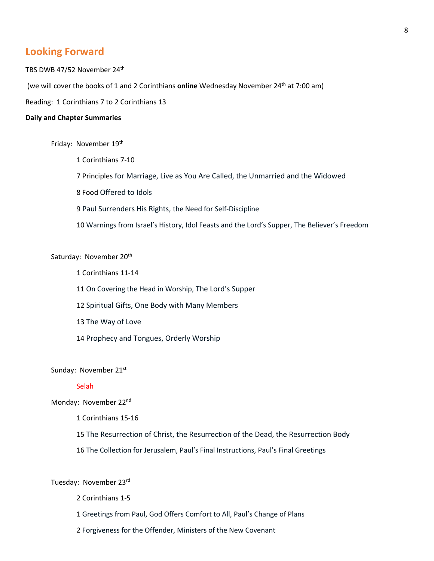# **Looking Forward**

TBS DWB 47/52 November 24<sup>th</sup> (we will cover the books of 1 and 2 Corinthians **online** Wednesday November 24<sup>th</sup> at 7:00 am)

Reading: 1 Corinthians 7 to 2 Corinthians 13

#### **Daily and Chapter Summaries**

Friday: November 19<sup>th</sup>

1 Corinthians 7-10

7 Principles for Marriage, Live as You Are Called, the Unmarried and the Widowed

8 Food Offered to Idols

9 Paul Surrenders His Rights, the Need for Self-Discipline

10 Warnings from Israel's History, Idol Feasts and the Lord's Supper, The Believer's Freedom

## Saturday: November 20<sup>th</sup>

1 Corinthians 11-14

11 On Covering the Head in Worship, The Lord's Supper

12 Spiritual Gifts, One Body with Many Members

13 The Way of Love

14 Prophecy and Tongues, Orderly Worship

Sunday: November 21st

## Selah

Monday: November 22nd

1 Corinthians 15-16

15 The Resurrection of Christ, the Resurrection of the Dead, the Resurrection Body

16 The Collection for Jerusalem, Paul's Final Instructions, Paul's Final Greetings

Tuesday: November 23rd

- 2 Corinthians 1-5
- 1 Greetings from Paul, God Offers Comfort to All, Paul's Change of Plans
- 2 Forgiveness for the Offender, Ministers of the New Covenant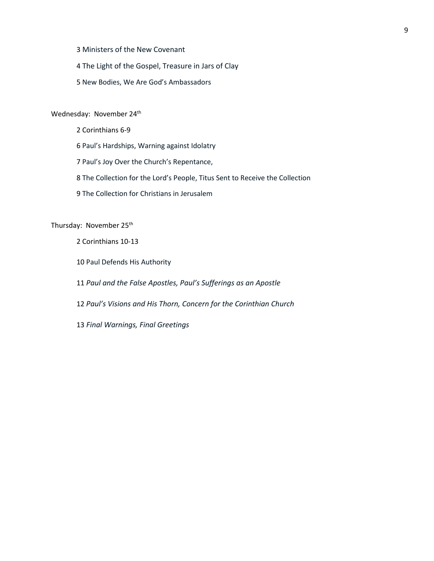3 Ministers of the New Covenant

4 The Light of the Gospel, Treasure in Jars of Clay

5 New Bodies, We Are God's Ambassadors

# Wednesday: November 24<sup>th</sup>

2 Corinthians 6-9 6 Paul's Hardships, Warning against Idolatry 7 Paul's Joy Over the Church's Repentance, 8 The Collection for the Lord's People, Titus Sent to Receive the Collection 9 The Collection for Christians in Jerusalem

Thursday: November 25<sup>th</sup>

2 Corinthians 10-13

10 Paul Defends His Authority

11 *Paul and the False Apostles, Paul's Sufferings as an Apostle*

12 *Paul's Visions and His Thorn, Concern for the Corinthian Church*

13 *Final Warnings, Final Greetings*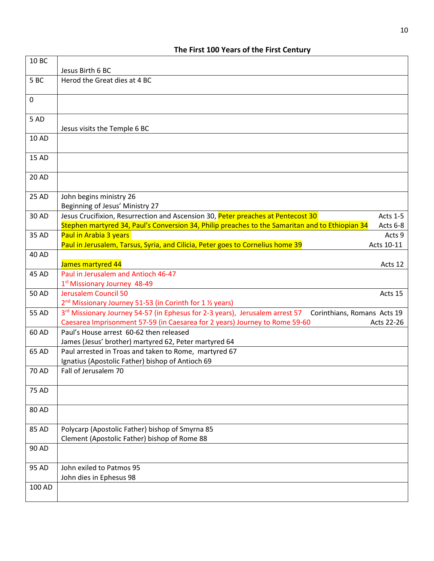| 10 BC        |                                                                                                                                                                                                             |
|--------------|-------------------------------------------------------------------------------------------------------------------------------------------------------------------------------------------------------------|
|              | Jesus Birth 6 BC                                                                                                                                                                                            |
| 5BC          | Herod the Great dies at 4 BC                                                                                                                                                                                |
| 0            |                                                                                                                                                                                                             |
| 5 AD         | Jesus visits the Temple 6 BC                                                                                                                                                                                |
| <b>10 AD</b> |                                                                                                                                                                                                             |
| 15 AD        |                                                                                                                                                                                                             |
| <b>20 AD</b> |                                                                                                                                                                                                             |
| 25 AD        | John begins ministry 26<br>Beginning of Jesus' Ministry 27                                                                                                                                                  |
| 30 AD        | Jesus Crucifixion, Resurrection and Ascension 30, Peter preaches at Pentecost 30<br>Acts 1-5<br>Stephen martyred 34, Paul's Conversion 34, Philip preaches to the Samaritan and to Ethiopian 34<br>Acts 6-8 |
| 35 AD        | Paul in Arabia 3 years<br>Acts 9<br>Paul in Jerusalem, Tarsus, Syria, and Cilicia, Peter goes to Cornelius home 39<br>Acts 10-11                                                                            |
| <b>40 AD</b> | James martyred 44<br>Acts 12                                                                                                                                                                                |
| 45 AD        | Paul in Jerusalem and Antioch 46-47<br>1st Missionary Journey 48-49                                                                                                                                         |
| <b>50 AD</b> | <b>Jerusalem Council 50</b><br>Acts 15<br>2 <sup>nd</sup> Missionary Journey 51-53 (in Corinth for 1 <sup>1</sup> / <sub>2</sub> years)                                                                     |
| 55 AD        | 3rd Missionary Journey 54-57 (in Ephesus for 2-3 years), Jerusalem arrest 57<br>Corinthians, Romans Acts 19                                                                                                 |
|              | Caesarea Imprisonment 57-59 (in Caesarea for 2 years) Journey to Rome 59-60<br>Acts 22-26                                                                                                                   |
| 60 AD        | Paul's House arrest 60-62 then released                                                                                                                                                                     |
|              | James (Jesus' brother) martyred 62, Peter martyred 64                                                                                                                                                       |
| 65 AD        | Paul arrested in Troas and taken to Rome, martyred 67                                                                                                                                                       |
|              | Ignatius (Apostolic Father) bishop of Antioch 69                                                                                                                                                            |
| 70 AD        | Fall of Jerusalem 70                                                                                                                                                                                        |
| <b>75 AD</b> |                                                                                                                                                                                                             |
| 80 AD        |                                                                                                                                                                                                             |
| 85 AD        | Polycarp (Apostolic Father) bishop of Smyrna 85<br>Clement (Apostolic Father) bishop of Rome 88                                                                                                             |
| 90 AD        |                                                                                                                                                                                                             |
| 95 AD        | John exiled to Patmos 95                                                                                                                                                                                    |
|              | John dies in Ephesus 98                                                                                                                                                                                     |
| 100 AD       |                                                                                                                                                                                                             |

# **The First 100 Years of the First Century**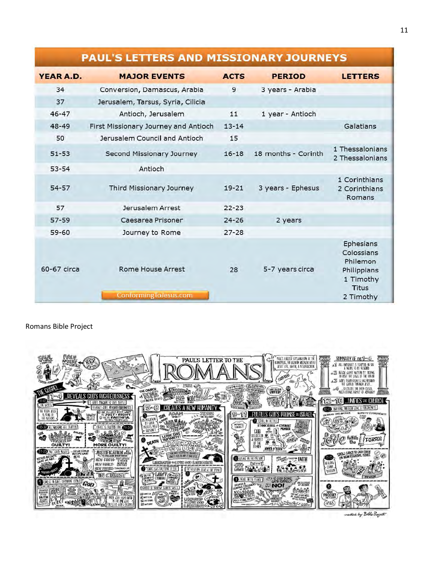# **PAUL'S LETTERS AND MISSIONARY JOURNEYS**

| YEAR A.D.   | <b>MAJOR EVENTS</b>                               | <b>ACTS</b> | <b>PERIOD</b>       | <b>LETTERS</b>                                                                               |
|-------------|---------------------------------------------------|-------------|---------------------|----------------------------------------------------------------------------------------------|
| 34          | Conversion, Damascus, Arabia                      | 9           | 3 years - Arabia    |                                                                                              |
| 37          | Jerusalem, Tarsus, Syria, Cilicia                 |             |                     |                                                                                              |
| $46 - 47$   | Antioch, Jerusalem                                | 11          | 1 year - Antioch    |                                                                                              |
| $48 - 49$   | First Missionary Journey and Antioch              | $13 - 14$   |                     | Galatians                                                                                    |
| 50          | Jerusalem Council and Antioch                     | 15          |                     |                                                                                              |
| $51 - 53$   | Second Missionary Journey                         | $16 - 18$   | 18 months - Corinth | 1 Thessalonians<br>2 Thessalonians                                                           |
| $53 - 54$   | Antioch                                           |             |                     |                                                                                              |
| $54 - 57$   | Third Missionary Journey                          | $19 - 21$   | 3 years - Ephesus   | 1 Corinthians<br>2 Corinthians<br>Romans                                                     |
| 57          | Jerusalem Arrest                                  | $22 - 23$   |                     |                                                                                              |
| $57 - 59$   | Caesarea Prisoner                                 | $24 - 26$   | 2 years             |                                                                                              |
| $59 - 60$   | Journey to Rome                                   | $27 - 28$   |                     |                                                                                              |
| 60-67 circa | <b>Rome House Arrest</b><br>ConformingToJesus.com | 28          | 5-7 years circa     | Ephesians<br>Colossians<br>Philemon<br>Philippians<br>1 Timothy<br><b>Titus</b><br>2 Timothy |

Romans Bible Project



created by Bible Project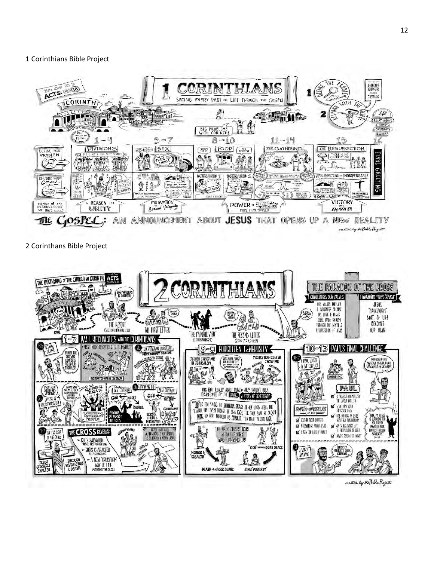## 1 Corinthians Bible Project



2 Corinthans Bible Project



created by the Bible Project